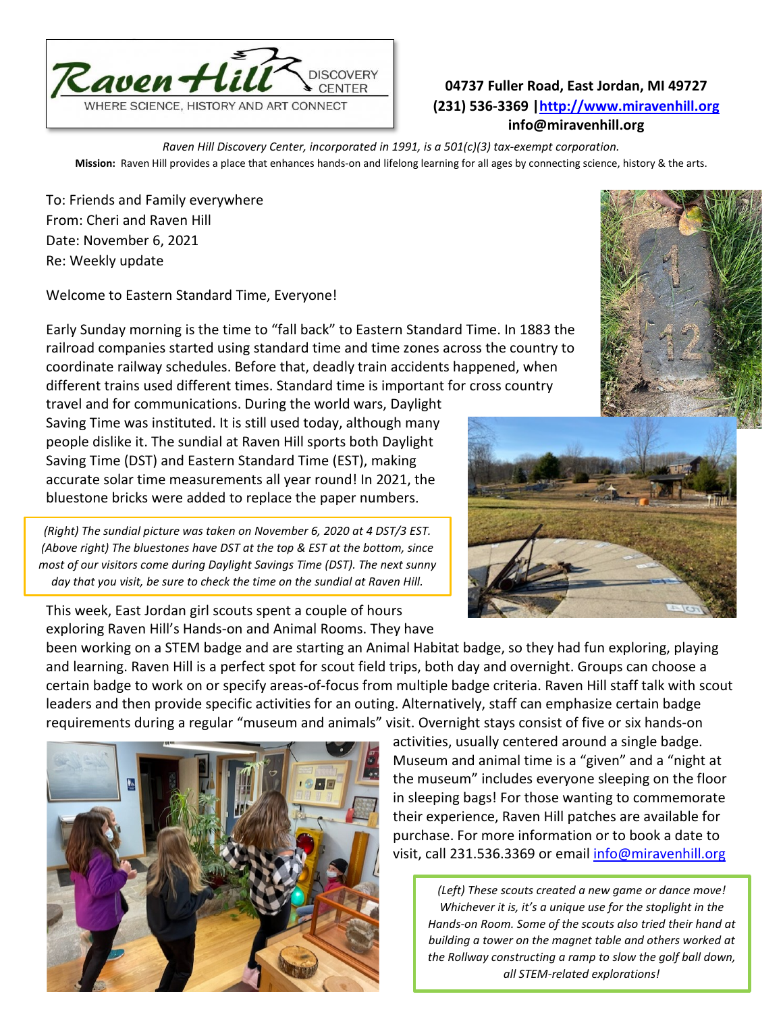

## **04737 Fuller Road, East Jordan, MI 49727 (231) 536-3369 [|http://www.miravenhill.org](http://www.miravenhill.org/) info@miravenhill.org**

*Raven Hill Discovery Center, incorporated in 1991, is a 501(c)(3) tax-exempt corporation.* **Mission:** Raven Hill provides a place that enhances hands-on and lifelong learning for all ages by connecting science, history & the arts.

To: Friends and Family everywhere From: Cheri and Raven Hill Date: November 6, 2021 Re: Weekly update

Welcome to Eastern Standard Time, Everyone!

Early Sunday morning is the time to "fall back" to Eastern Standard Time. In 1883 the railroad companies started using standard time and time zones across the country to coordinate railway schedules. Before that, deadly train accidents happened, when different trains used different times. Standard time is important for cross country

travel and for communications. During the world wars, Daylight Saving Time was instituted. It is still used today, although many people dislike it. The sundial at Raven Hill sports both Daylight Saving Time (DST) and Eastern Standard Time (EST), making accurate solar time measurements all year round! In 2021, the bluestone bricks were added to replace the paper numbers.

*(Right) The sundial picture was taken on November 6, 2020 at 4 DST/3 EST. (Above right) The bluestones have DST at the top & EST at the bottom, since most of our visitors come during Daylight Savings Time (DST). The next sunny day that you visit, be sure to check the time on the sundial at Raven Hill.*

This week, East Jordan girl scouts spent a couple of hours exploring Raven Hill's Hands-on and Animal Rooms. They have

been working on a STEM badge and are starting an Animal Habitat badge, so they had fun exploring, playing and learning. Raven Hill is a perfect spot for scout field trips, both day and overnight. Groups can choose a certain badge to work on or specify areas-of-focus from multiple badge criteria. Raven Hill staff talk with scout leaders and then provide specific activities for an outing. Alternatively, staff can emphasize certain badge requirements during a regular "museum and animals" visit. Overnight stays consist of five or six hands-on

> activities, usually centered around a single badge. Museum and animal time is a "given" and a "night at the museum" includes everyone sleeping on the floor in sleeping bags! For those wanting to commemorate their experience, Raven Hill patches are available for purchase. For more information or to book a date to visit, call 231.536.3369 or email [info@miravenhill.org](mailto:info@miravenhill.org)

*(Left) These scouts created a new game or dance move! Whichever it is, it's a unique use for the stoplight in the Hands-on Room. Some of the scouts also tried their hand at building a tower on the magnet table and others worked at the Rollway constructing a ramp to slow the golf ball down, all STEM-related explorations!*